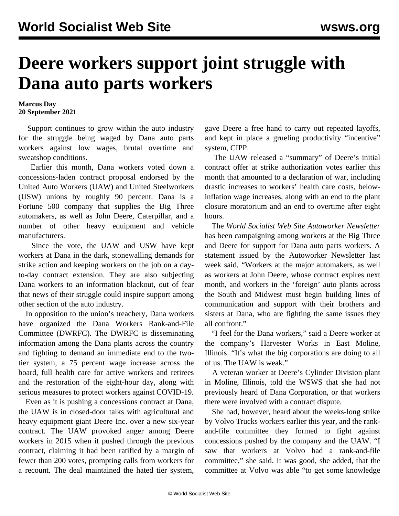## **Deere workers support joint struggle with Dana auto parts workers**

## **Marcus Day 20 September 2021**

 Support continues to grow within the auto industry for the struggle being waged by Dana auto parts workers against low wages, brutal overtime and sweatshop conditions.

 Earlier this month, Dana workers [voted down](UAW%20declares%20indefinite%20contract%20extension%20after%20Dana%20workers%20vote%20down%20tentative%20agreement%20by%20huge%20margins) a concessions-laden contract proposal endorsed by the United Auto Workers (UAW) and United Steelworkers (USW) unions by roughly 90 percent. Dana is a Fortune 500 company that supplies the Big Three automakers, as well as John Deere, Caterpillar, and a number of other heavy equipment and vehicle manufacturers.

 Since the vote, the UAW and USW have kept workers at Dana in the dark, stonewalling demands for strike action and keeping workers on the job on a dayto-day contract extension. They are also subjecting Dana workers to an information blackout, out of fear that news of their struggle could inspire support among other section of the auto industry.

 In opposition to the union's treachery, Dana workers have organized the [Dana Workers Rank-and-File](/en/articles/2021/09/11/stat-s11.html) [Committee](/en/articles/2021/09/11/stat-s11.html) (DWRFC). The DWRFC is disseminating information among the Dana plants across the country and fighting to demand an immediate end to the twotier system, a 75 percent wage increase across the board, full health care for active workers and retirees and the restoration of the eight-hour day, along with serious measures to protect workers against COVID-19.

 Even as it is pushing a concessions contract at Dana, the UAW is in closed-door talks with agricultural and heavy equipment giant Deere Inc. over a new six-year contract. The UAW provoked anger among Deere workers in 2015 when it pushed through the previous contract, claiming it had been ratified by a margin of fewer than 200 votes, prompting calls from workers for a recount. The deal maintained the hated tier system,

gave Deere a free hand to carry out repeated layoffs, and kept in place a grueling productivity "incentive" system, CIPP.

 The UAW released a "summary" of Deere's initial contract offer at strike authorization votes earlier this month that amounted to a declaration of war, including drastic increases to workers' health care costs, belowinflation wage increases, along with an end to the plant closure moratorium and an end to overtime after eight hours.

 The *World Socialist Web Site Autoworker Newsletter* has been campaigning among workers at the Big Three and Deere for support for Dana auto parts workers. A [statement](/en/articles/2021/09/17/dana-s17.html) issued by the Autoworker Newsletter last week said, "Workers at the major automakers, as well as workers at John Deere, whose contract expires next month, and workers in the 'foreign' auto plants across the South and Midwest must begin building lines of communication and support with their brothers and sisters at Dana, who are fighting the same issues they all confront."

 "I feel for the Dana workers," said a Deere worker at the company's Harvester Works in East Moline, Illinois. "It's what the big corporations are doing to all of us. The UAW is weak."

 A veteran worker at Deere's Cylinder Division plant in Moline, Illinois, told the WSWS that she had not previously heard of Dana Corporation, or that workers there were involved with a contract dispute.

 She had, however, heard about the weeks-long strike by Volvo Trucks workers earlier this year, and the rankand-file committee they formed to fight against concessions pushed by the company and the UAW. "I saw that workers at Volvo had a rank-and-file committee," she said. It was good, she added, that the committee at Volvo was able "to get some knowledge